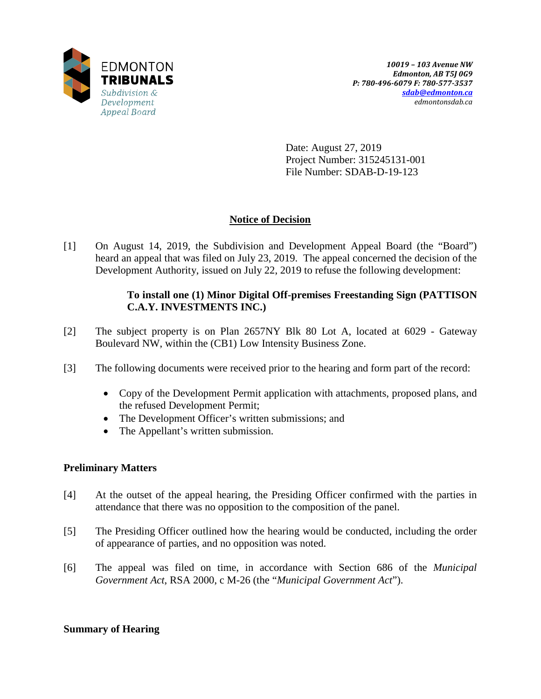

Date: August 27, 2019 Project Number: 315245131-001 File Number: SDAB-D-19-123

## **Notice of Decision**

[1] On August 14, 2019, the Subdivision and Development Appeal Board (the "Board") heard an appeal that was filed on July 23, 2019. The appeal concerned the decision of the Development Authority, issued on July 22, 2019 to refuse the following development:

## **To install one (1) Minor Digital Off-premises Freestanding Sign (PATTISON C.A.Y. INVESTMENTS INC.)**

- [2] The subject property is on Plan 2657NY Blk 80 Lot A, located at 6029 Gateway Boulevard NW, within the (CB1) Low Intensity Business Zone.
- [3] The following documents were received prior to the hearing and form part of the record:
	- Copy of the Development Permit application with attachments, proposed plans, and the refused Development Permit;
	- The Development Officer's written submissions; and
	- The Appellant's written submission.

## **Preliminary Matters**

- [4] At the outset of the appeal hearing, the Presiding Officer confirmed with the parties in attendance that there was no opposition to the composition of the panel.
- [5] The Presiding Officer outlined how the hearing would be conducted, including the order of appearance of parties, and no opposition was noted.
- [6] The appeal was filed on time, in accordance with Section 686 of the *Municipal Government Act*, RSA 2000, c M-26 (the "*Municipal Government Act*").

## **Summary of Hearing**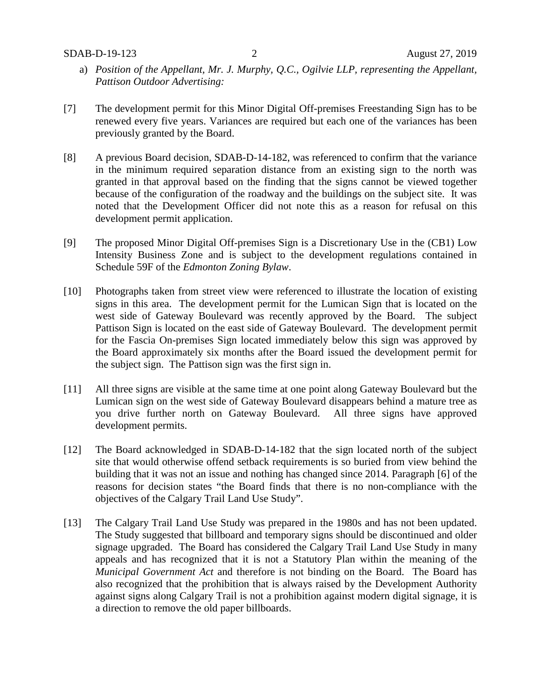- a) *Position of the Appellant, Mr. J. Murphy, Q.C., Ogilvie LLP, representing the Appellant, Pattison Outdoor Advertising:*
- [7] The development permit for this Minor Digital Off-premises Freestanding Sign has to be renewed every five years. Variances are required but each one of the variances has been previously granted by the Board.
- [8] A previous Board decision, SDAB-D-14-182, was referenced to confirm that the variance in the minimum required separation distance from an existing sign to the north was granted in that approval based on the finding that the signs cannot be viewed together because of the configuration of the roadway and the buildings on the subject site. It was noted that the Development Officer did not note this as a reason for refusal on this development permit application.
- [9] The proposed Minor Digital Off-premises Sign is a Discretionary Use in the (CB1) Low Intensity Business Zone and is subject to the development regulations contained in Schedule 59F of the *Edmonton Zoning Bylaw*.
- [10] Photographs taken from street view were referenced to illustrate the location of existing signs in this area. The development permit for the Lumican Sign that is located on the west side of Gateway Boulevard was recently approved by the Board. The subject Pattison Sign is located on the east side of Gateway Boulevard. The development permit for the Fascia On-premises Sign located immediately below this sign was approved by the Board approximately six months after the Board issued the development permit for the subject sign. The Pattison sign was the first sign in.
- [11] All three signs are visible at the same time at one point along Gateway Boulevard but the Lumican sign on the west side of Gateway Boulevard disappears behind a mature tree as you drive further north on Gateway Boulevard. All three signs have approved development permits.
- [12] The Board acknowledged in SDAB-D-14-182 that the sign located north of the subject site that would otherwise offend setback requirements is so buried from view behind the building that it was not an issue and nothing has changed since 2014. Paragraph [6] of the reasons for decision states "the Board finds that there is no non-compliance with the objectives of the Calgary Trail Land Use Study".
- [13] The Calgary Trail Land Use Study was prepared in the 1980s and has not been updated. The Study suggested that billboard and temporary signs should be discontinued and older signage upgraded. The Board has considered the Calgary Trail Land Use Study in many appeals and has recognized that it is not a Statutory Plan within the meaning of the *Municipal Government Act* and therefore is not binding on the Board. The Board has also recognized that the prohibition that is always raised by the Development Authority against signs along Calgary Trail is not a prohibition against modern digital signage, it is a direction to remove the old paper billboards.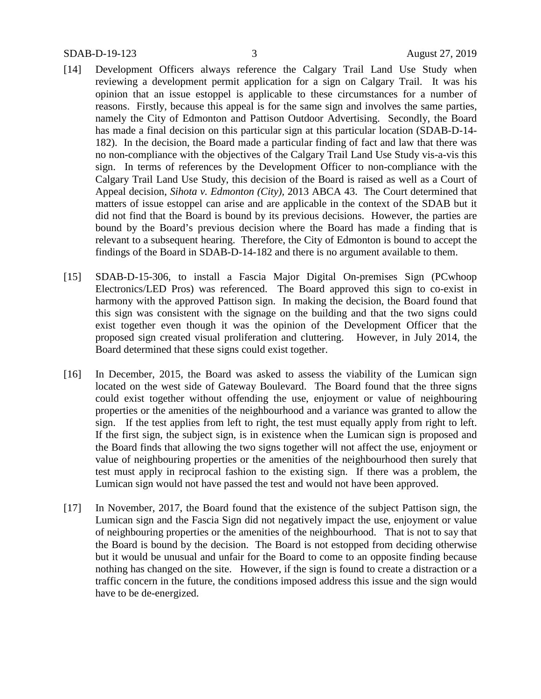- [14] Development Officers always reference the Calgary Trail Land Use Study when reviewing a development permit application for a sign on Calgary Trail. It was his opinion that an issue estoppel is applicable to these circumstances for a number of reasons. Firstly, because this appeal is for the same sign and involves the same parties, namely the City of Edmonton and Pattison Outdoor Advertising. Secondly, the Board has made a final decision on this particular sign at this particular location (SDAB-D-14- 182). In the decision, the Board made a particular finding of fact and law that there was no non-compliance with the objectives of the Calgary Trail Land Use Study vis-a-vis this sign. In terms of references by the Development Officer to non-compliance with the Calgary Trail Land Use Study, this decision of the Board is raised as well as a Court of Appeal decision, *Sihota v. Edmonton (City),* 2013 ABCA 43. The Court determined that matters of issue estoppel can arise and are applicable in the context of the SDAB but it did not find that the Board is bound by its previous decisions. However, the parties are bound by the Board's previous decision where the Board has made a finding that is relevant to a subsequent hearing. Therefore, the City of Edmonton is bound to accept the findings of the Board in SDAB-D-14-182 and there is no argument available to them.
- [15] SDAB-D-15-306, to install a Fascia Major Digital On-premises Sign (PCwhoop Electronics/LED Pros) was referenced. The Board approved this sign to co-exist in harmony with the approved Pattison sign. In making the decision, the Board found that this sign was consistent with the signage on the building and that the two signs could exist together even though it was the opinion of the Development Officer that the proposed sign created visual proliferation and cluttering. However, in July 2014, the Board determined that these signs could exist together.
- [16] In December, 2015, the Board was asked to assess the viability of the Lumican sign located on the west side of Gateway Boulevard. The Board found that the three signs could exist together without offending the use, enjoyment or value of neighbouring properties or the amenities of the neighbourhood and a variance was granted to allow the sign. If the test applies from left to right, the test must equally apply from right to left. If the first sign, the subject sign, is in existence when the Lumican sign is proposed and the Board finds that allowing the two signs together will not affect the use, enjoyment or value of neighbouring properties or the amenities of the neighbourhood then surely that test must apply in reciprocal fashion to the existing sign. If there was a problem, the Lumican sign would not have passed the test and would not have been approved.
- [17] In November, 2017, the Board found that the existence of the subject Pattison sign, the Lumican sign and the Fascia Sign did not negatively impact the use, enjoyment or value of neighbouring properties or the amenities of the neighbourhood. That is not to say that the Board is bound by the decision. The Board is not estopped from deciding otherwise but it would be unusual and unfair for the Board to come to an opposite finding because nothing has changed on the site. However, if the sign is found to create a distraction or a traffic concern in the future, the conditions imposed address this issue and the sign would have to be de-energized.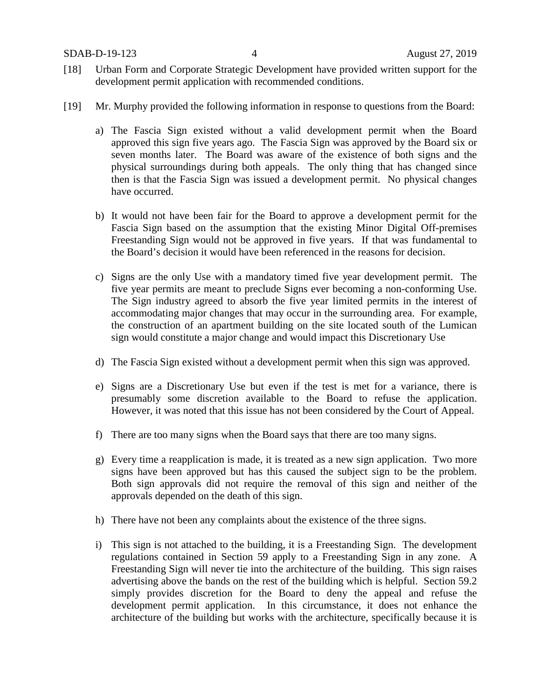SDAB-D-19-123 4 August 27, 2019

- [18] Urban Form and Corporate Strategic Development have provided written support for the development permit application with recommended conditions.
- [19] Mr. Murphy provided the following information in response to questions from the Board:
	- a) The Fascia Sign existed without a valid development permit when the Board approved this sign five years ago. The Fascia Sign was approved by the Board six or seven months later. The Board was aware of the existence of both signs and the physical surroundings during both appeals. The only thing that has changed since then is that the Fascia Sign was issued a development permit. No physical changes have occurred.
	- b) It would not have been fair for the Board to approve a development permit for the Fascia Sign based on the assumption that the existing Minor Digital Off-premises Freestanding Sign would not be approved in five years. If that was fundamental to the Board's decision it would have been referenced in the reasons for decision.
	- c) Signs are the only Use with a mandatory timed five year development permit. The five year permits are meant to preclude Signs ever becoming a non-conforming Use. The Sign industry agreed to absorb the five year limited permits in the interest of accommodating major changes that may occur in the surrounding area. For example, the construction of an apartment building on the site located south of the Lumican sign would constitute a major change and would impact this Discretionary Use
	- d) The Fascia Sign existed without a development permit when this sign was approved.
	- e) Signs are a Discretionary Use but even if the test is met for a variance, there is presumably some discretion available to the Board to refuse the application. However, it was noted that this issue has not been considered by the Court of Appeal.
	- f) There are too many signs when the Board says that there are too many signs.
	- g) Every time a reapplication is made, it is treated as a new sign application. Two more signs have been approved but has this caused the subject sign to be the problem. Both sign approvals did not require the removal of this sign and neither of the approvals depended on the death of this sign.
	- h) There have not been any complaints about the existence of the three signs.
	- i) This sign is not attached to the building, it is a Freestanding Sign. The development regulations contained in Section 59 apply to a Freestanding Sign in any zone. A Freestanding Sign will never tie into the architecture of the building. This sign raises advertising above the bands on the rest of the building which is helpful. Section 59.2 simply provides discretion for the Board to deny the appeal and refuse the development permit application. In this circumstance, it does not enhance the architecture of the building but works with the architecture, specifically because it is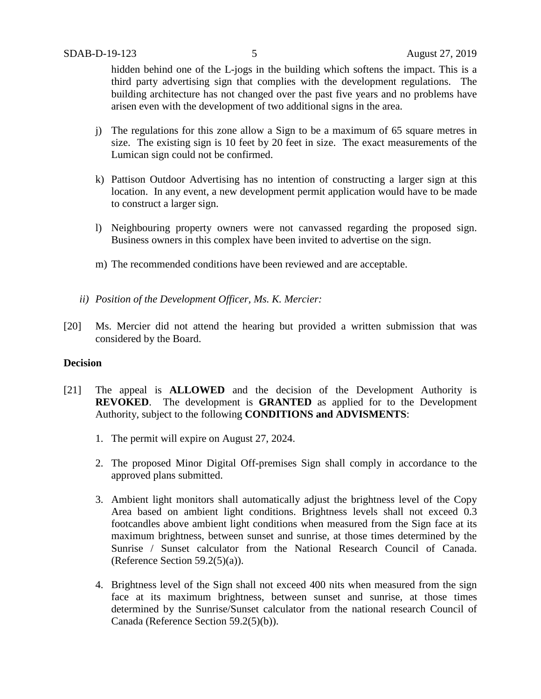hidden behind one of the L-jogs in the building which softens the impact. This is a third party advertising sign that complies with the development regulations. The building architecture has not changed over the past five years and no problems have arisen even with the development of two additional signs in the area.

- j) The regulations for this zone allow a Sign to be a maximum of 65 square metres in size. The existing sign is 10 feet by 20 feet in size. The exact measurements of the Lumican sign could not be confirmed.
- k) Pattison Outdoor Advertising has no intention of constructing a larger sign at this location. In any event, a new development permit application would have to be made to construct a larger sign.
- l) Neighbouring property owners were not canvassed regarding the proposed sign. Business owners in this complex have been invited to advertise on the sign.
- m) The recommended conditions have been reviewed and are acceptable.
- *ii) Position of the Development Officer, Ms. K. Mercier:*
- [20] Ms. Mercier did not attend the hearing but provided a written submission that was considered by the Board.

#### **Decision**

- [21] The appeal is **ALLOWED** and the decision of the Development Authority is **REVOKED**. The development is **GRANTED** as applied for to the Development Authority, subject to the following **CONDITIONS and ADVISMENTS**:
	- 1. The permit will expire on August 27, 2024.
	- 2. The proposed Minor Digital Off-premises Sign shall comply in accordance to the approved plans submitted.
	- 3. Ambient light monitors shall automatically adjust the brightness level of the Copy Area based on ambient light conditions. Brightness levels shall not exceed 0.3 footcandles above ambient light conditions when measured from the Sign face at its maximum brightness, between sunset and sunrise, at those times determined by the Sunrise / Sunset calculator from the National Research Council of Canada. (Reference Section 59.2(5)(a)).
	- 4. Brightness level of the Sign shall not exceed 400 nits when measured from the sign face at its maximum brightness, between sunset and sunrise, at those times determined by the Sunrise/Sunset calculator from the national research Council of Canada (Reference Section 59.2(5)(b)).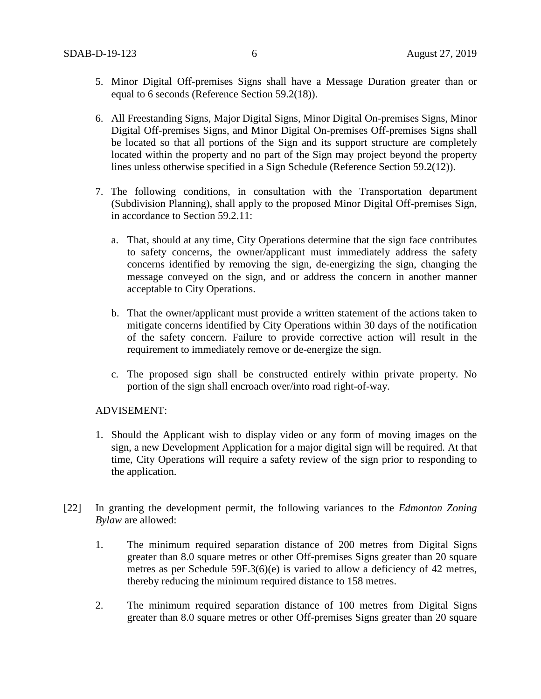- 5. Minor Digital Off-premises Signs shall have a Message Duration greater than or equal to 6 seconds (Reference Section 59.2(18)).
- 6. All Freestanding Signs, Major Digital Signs, Minor Digital On-premises Signs, Minor Digital Off-premises Signs, and Minor Digital On-premises Off-premises Signs shall be located so that all portions of the Sign and its support structure are completely located within the property and no part of the Sign may project beyond the property lines unless otherwise specified in a Sign Schedule (Reference Section 59.2(12)).
- 7. The following conditions, in consultation with the Transportation department (Subdivision Planning), shall apply to the proposed Minor Digital Off-premises Sign, in accordance to Section 59.2.11:
	- a. That, should at any time, City Operations determine that the sign face contributes to safety concerns, the owner/applicant must immediately address the safety concerns identified by removing the sign, de-energizing the sign, changing the message conveyed on the sign, and or address the concern in another manner acceptable to City Operations.
	- b. That the owner/applicant must provide a written statement of the actions taken to mitigate concerns identified by City Operations within 30 days of the notification of the safety concern. Failure to provide corrective action will result in the requirement to immediately remove or de-energize the sign.
	- c. The proposed sign shall be constructed entirely within private property. No portion of the sign shall encroach over/into road right-of-way.

#### ADVISEMENT:

- 1. Should the Applicant wish to display video or any form of moving images on the sign, a new Development Application for a major digital sign will be required. At that time, City Operations will require a safety review of the sign prior to responding to the application.
- [22] In granting the development permit, the following variances to the *Edmonton Zoning Bylaw* are allowed:
	- 1. The minimum required separation distance of 200 metres from Digital Signs greater than 8.0 square metres or other Off-premises Signs greater than 20 square metres as per Schedule 59F.3(6)(e) is varied to allow a deficiency of 42 metres, thereby reducing the minimum required distance to 158 metres.
	- 2. The minimum required separation distance of 100 metres from Digital Signs greater than 8.0 square metres or other Off-premises Signs greater than 20 square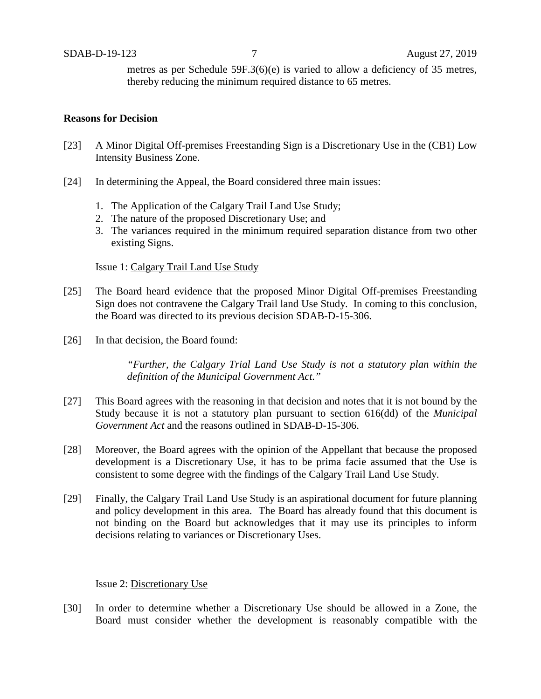metres as per Schedule 59F.3(6)(e) is varied to allow a deficiency of 35 metres, thereby reducing the minimum required distance to 65 metres.

#### **Reasons for Decision**

- [23] A Minor Digital Off-premises Freestanding Sign is a Discretionary Use in the (CB1) Low Intensity Business Zone.
- [24] In determining the Appeal, the Board considered three main issues:
	- 1. The Application of the Calgary Trail Land Use Study;
	- 2. The nature of the proposed Discretionary Use; and
	- 3. The variances required in the minimum required separation distance from two other existing Signs.

#### Issue 1: Calgary Trail Land Use Study

- [25] The Board heard evidence that the proposed Minor Digital Off-premises Freestanding Sign does not contravene the Calgary Trail land Use Study. In coming to this conclusion, the Board was directed to its previous decision SDAB-D-15-306.
- [26] In that decision, the Board found:

*"Further, the Calgary Trial Land Use Study is not a statutory plan within the definition of the Municipal Government Act."*

- [27] This Board agrees with the reasoning in that decision and notes that it is not bound by the Study because it is not a statutory plan pursuant to section 616(dd) of the *Municipal Government Act* and the reasons outlined in SDAB-D-15-306.
- [28] Moreover, the Board agrees with the opinion of the Appellant that because the proposed development is a Discretionary Use, it has to be prima facie assumed that the Use is consistent to some degree with the findings of the Calgary Trail Land Use Study.
- [29] Finally, the Calgary Trail Land Use Study is an aspirational document for future planning and policy development in this area. The Board has already found that this document is not binding on the Board but acknowledges that it may use its principles to inform decisions relating to variances or Discretionary Uses.

#### Issue 2: Discretionary Use

[30] In order to determine whether a Discretionary Use should be allowed in a Zone, the Board must consider whether the development is reasonably compatible with the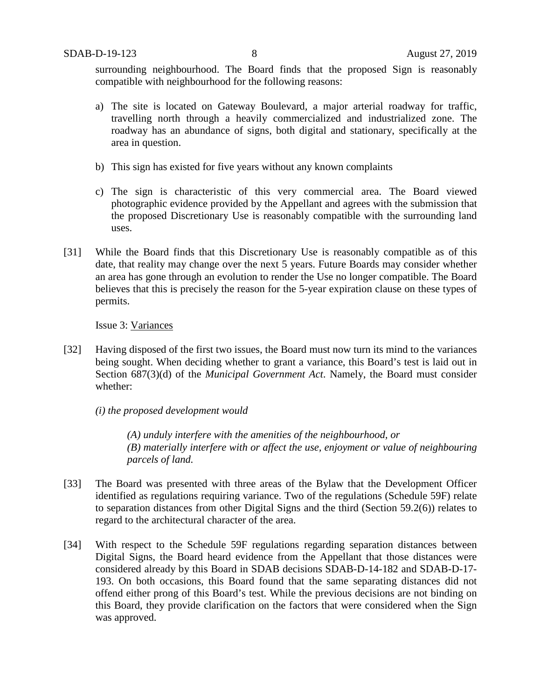surrounding neighbourhood. The Board finds that the proposed Sign is reasonably compatible with neighbourhood for the following reasons:

- a) The site is located on Gateway Boulevard, a major arterial roadway for traffic, travelling north through a heavily commercialized and industrialized zone. The roadway has an abundance of signs, both digital and stationary, specifically at the area in question.
- b) This sign has existed for five years without any known complaints
- c) The sign is characteristic of this very commercial area. The Board viewed photographic evidence provided by the Appellant and agrees with the submission that the proposed Discretionary Use is reasonably compatible with the surrounding land uses.
- [31] While the Board finds that this Discretionary Use is reasonably compatible as of this date, that reality may change over the next 5 years. Future Boards may consider whether an area has gone through an evolution to render the Use no longer compatible. The Board believes that this is precisely the reason for the 5-year expiration clause on these types of permits.

Issue 3: Variances

[32] Having disposed of the first two issues, the Board must now turn its mind to the variances being sought. When deciding whether to grant a variance, this Board's test is laid out in Section 687(3)(d) of the *Municipal Government Act*. Namely, the Board must consider whether:

*(i) the proposed development would* 

*(A) unduly interfere with the amenities of the neighbourhood, or (B) materially interfere with or affect the use, enjoyment or value of neighbouring parcels of land.*

- [33] The Board was presented with three areas of the Bylaw that the Development Officer identified as regulations requiring variance. Two of the regulations (Schedule 59F) relate to separation distances from other Digital Signs and the third (Section 59.2(6)) relates to regard to the architectural character of the area.
- [34] With respect to the Schedule 59F regulations regarding separation distances between Digital Signs, the Board heard evidence from the Appellant that those distances were considered already by this Board in SDAB decisions SDAB-D-14-182 and SDAB-D-17- 193. On both occasions, this Board found that the same separating distances did not offend either prong of this Board's test. While the previous decisions are not binding on this Board, they provide clarification on the factors that were considered when the Sign was approved.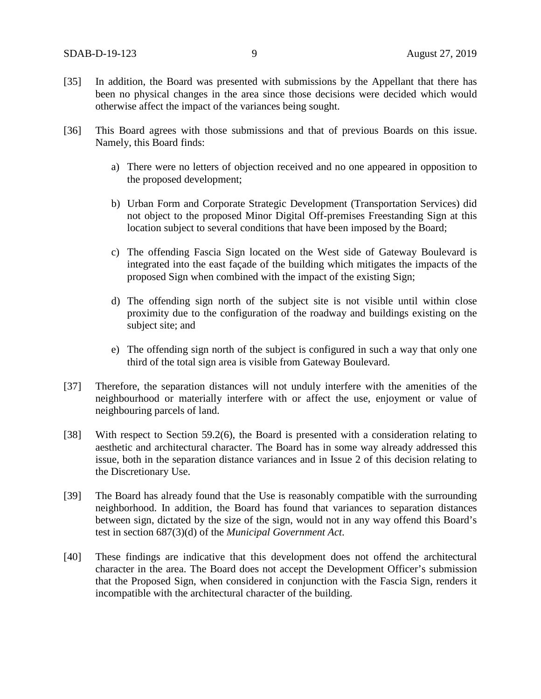- [35] In addition, the Board was presented with submissions by the Appellant that there has been no physical changes in the area since those decisions were decided which would otherwise affect the impact of the variances being sought.
- [36] This Board agrees with those submissions and that of previous Boards on this issue. Namely, this Board finds:
	- a) There were no letters of objection received and no one appeared in opposition to the proposed development;
	- b) Urban Form and Corporate Strategic Development (Transportation Services) did not object to the proposed Minor Digital Off-premises Freestanding Sign at this location subject to several conditions that have been imposed by the Board;
	- c) The offending Fascia Sign located on the West side of Gateway Boulevard is integrated into the east façade of the building which mitigates the impacts of the proposed Sign when combined with the impact of the existing Sign;
	- d) The offending sign north of the subject site is not visible until within close proximity due to the configuration of the roadway and buildings existing on the subject site; and
	- e) The offending sign north of the subject is configured in such a way that only one third of the total sign area is visible from Gateway Boulevard.
- [37] Therefore, the separation distances will not unduly interfere with the amenities of the neighbourhood or materially interfere with or affect the use, enjoyment or value of neighbouring parcels of land.
- [38] With respect to Section 59.2(6), the Board is presented with a consideration relating to aesthetic and architectural character. The Board has in some way already addressed this issue, both in the separation distance variances and in Issue 2 of this decision relating to the Discretionary Use.
- [39] The Board has already found that the Use is reasonably compatible with the surrounding neighborhood. In addition, the Board has found that variances to separation distances between sign, dictated by the size of the sign, would not in any way offend this Board's test in section 687(3)(d) of the *Municipal Government Act*.
- [40] These findings are indicative that this development does not offend the architectural character in the area. The Board does not accept the Development Officer's submission that the Proposed Sign, when considered in conjunction with the Fascia Sign, renders it incompatible with the architectural character of the building.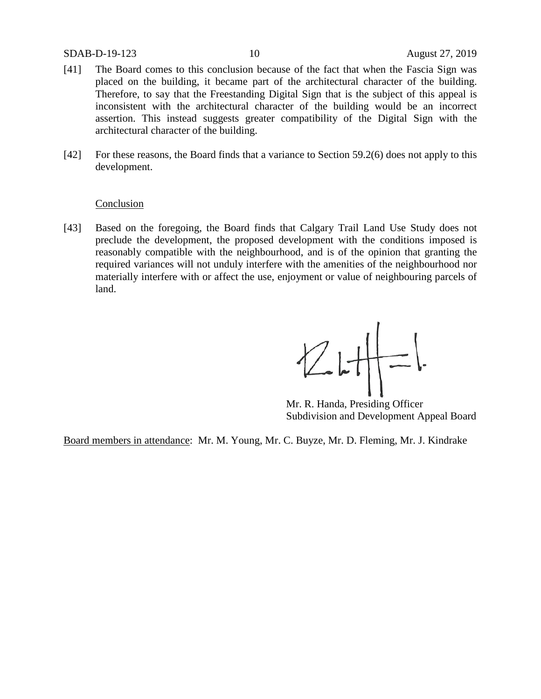#### SDAB-D-19-123 10 August 27, 2019

- [41] The Board comes to this conclusion because of the fact that when the Fascia Sign was placed on the building, it became part of the architectural character of the building. Therefore, to say that the Freestanding Digital Sign that is the subject of this appeal is inconsistent with the architectural character of the building would be an incorrect assertion. This instead suggests greater compatibility of the Digital Sign with the architectural character of the building.
- [42] For these reasons, the Board finds that a variance to Section 59.2(6) does not apply to this development.

#### **Conclusion**

[43] Based on the foregoing, the Board finds that Calgary Trail Land Use Study does not preclude the development, the proposed development with the conditions imposed is reasonably compatible with the neighbourhood, and is of the opinion that granting the required variances will not unduly interfere with the amenities of the neighbourhood nor materially interfere with or affect the use, enjoyment or value of neighbouring parcels of land.

 $ZHF$ 

Mr. R. Handa, Presiding Officer Subdivision and Development Appeal Board

Board members in attendance: Mr. M. Young, Mr. C. Buyze, Mr. D. Fleming, Mr. J. Kindrake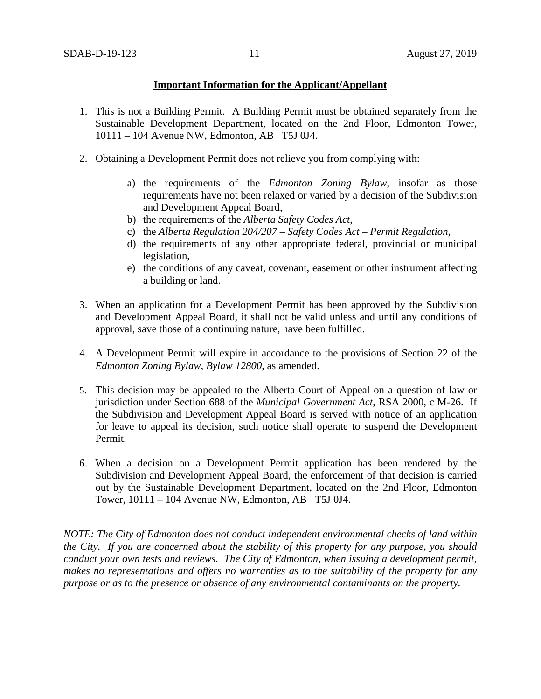#### **Important Information for the Applicant/Appellant**

- 1. This is not a Building Permit. A Building Permit must be obtained separately from the Sustainable Development Department, located on the 2nd Floor, Edmonton Tower, 10111 – 104 Avenue NW, Edmonton, AB T5J 0J4.
- 2. Obtaining a Development Permit does not relieve you from complying with:
	- a) the requirements of the *Edmonton Zoning Bylaw*, insofar as those requirements have not been relaxed or varied by a decision of the Subdivision and Development Appeal Board,
	- b) the requirements of the *Alberta Safety Codes Act*,
	- c) the *Alberta Regulation 204/207 – Safety Codes Act – Permit Regulation*,
	- d) the requirements of any other appropriate federal, provincial or municipal legislation,
	- e) the conditions of any caveat, covenant, easement or other instrument affecting a building or land.
- 3. When an application for a Development Permit has been approved by the Subdivision and Development Appeal Board, it shall not be valid unless and until any conditions of approval, save those of a continuing nature, have been fulfilled.
- 4. A Development Permit will expire in accordance to the provisions of Section 22 of the *Edmonton Zoning Bylaw, Bylaw 12800*, as amended.
- 5. This decision may be appealed to the Alberta Court of Appeal on a question of law or jurisdiction under Section 688 of the *Municipal Government Act*, RSA 2000, c M-26. If the Subdivision and Development Appeal Board is served with notice of an application for leave to appeal its decision, such notice shall operate to suspend the Development Permit.
- 6. When a decision on a Development Permit application has been rendered by the Subdivision and Development Appeal Board, the enforcement of that decision is carried out by the Sustainable Development Department, located on the 2nd Floor, Edmonton Tower, 10111 – 104 Avenue NW, Edmonton, AB T5J 0J4.

*NOTE: The City of Edmonton does not conduct independent environmental checks of land within the City. If you are concerned about the stability of this property for any purpose, you should conduct your own tests and reviews. The City of Edmonton, when issuing a development permit, makes no representations and offers no warranties as to the suitability of the property for any purpose or as to the presence or absence of any environmental contaminants on the property.*